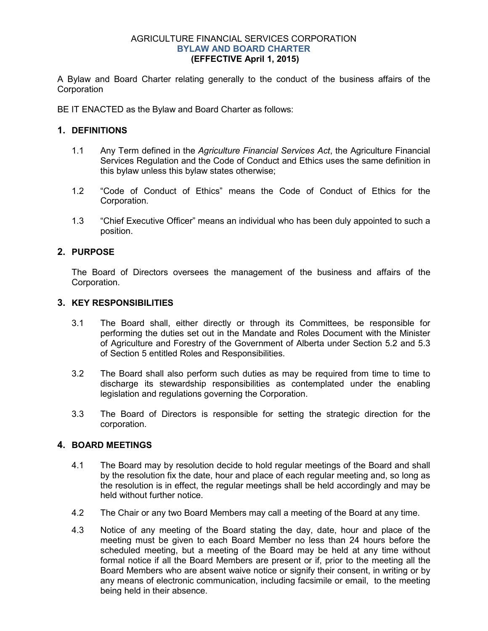#### AGRICULTURE FINANCIAL SERVICES CORPORATION **BYLAW AND BOARD CHARTER (EFFECTIVE April 1, 2015)**

A Bylaw and Board Charter relating generally to the conduct of the business affairs of the **Corporation** 

BE IT ENACTED as the Bylaw and Board Charter as follows:

## **1. DEFINITIONS**

- 1.1 Any Term defined in the *Agriculture Financial Services Act*, the Agriculture Financial Services Regulation and the Code of Conduct and Ethics uses the same definition in this bylaw unless this bylaw states otherwise;
- 1.2 "Code of Conduct of Ethics" means the Code of Conduct of Ethics for the Corporation.
- 1.3 "Chief Executive Officer" means an individual who has been duly appointed to such a position.

## **2. PURPOSE**

The Board of Directors oversees the management of the business and affairs of the Corporation.

#### **3. KEY RESPONSIBILITIES**

- 3.1 The Board shall, either directly or through its Committees, be responsible for performing the duties set out in the Mandate and Roles Document with the Minister of Agriculture and Forestry of the Government of Alberta under Section 5.2 and 5.3 of Section 5 entitled Roles and Responsibilities.
- 3.2 The Board shall also perform such duties as may be required from time to time to discharge its stewardship responsibilities as contemplated under the enabling legislation and regulations governing the Corporation.
- 3.3 The Board of Directors is responsible for setting the strategic direction for the corporation.

## **4. BOARD MEETINGS**

- 4.1 The Board may by resolution decide to hold regular meetings of the Board and shall by the resolution fix the date, hour and place of each regular meeting and, so long as the resolution is in effect, the regular meetings shall be held accordingly and may be held without further notice.
- 4.2 The Chair or any two Board Members may call a meeting of the Board at any time.
- 4.3 Notice of any meeting of the Board stating the day, date, hour and place of the meeting must be given to each Board Member no less than 24 hours before the scheduled meeting, but a meeting of the Board may be held at any time without formal notice if all the Board Members are present or if, prior to the meeting all the Board Members who are absent waive notice or signify their consent, in writing or by any means of electronic communication, including facsimile or email, to the meeting being held in their absence.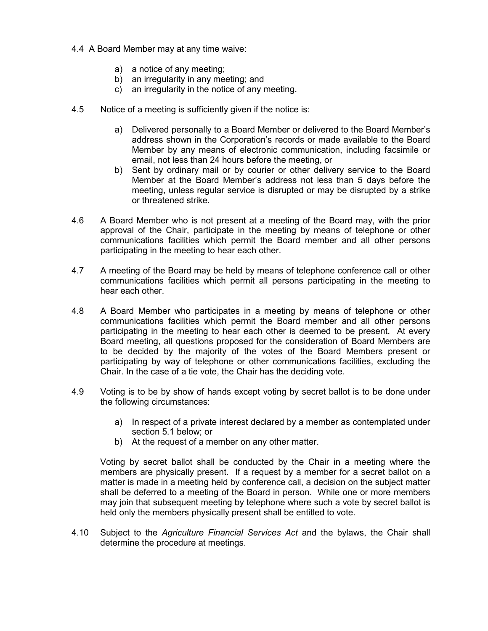- 4.4 A Board Member may at any time waive:
	- a) a notice of any meeting;
	- b) an irregularity in any meeting; and
	- c) an irregularity in the notice of any meeting.
- 4.5 Notice of a meeting is sufficiently given if the notice is:
	- a) Delivered personally to a Board Member or delivered to the Board Member's address shown in the Corporation's records or made available to the Board Member by any means of electronic communication, including facsimile or email, not less than 24 hours before the meeting, or
	- b) Sent by ordinary mail or by courier or other delivery service to the Board Member at the Board Member's address not less than 5 days before the meeting, unless regular service is disrupted or may be disrupted by a strike or threatened strike.
- 4.6 A Board Member who is not present at a meeting of the Board may, with the prior approval of the Chair, participate in the meeting by means of telephone or other communications facilities which permit the Board member and all other persons participating in the meeting to hear each other.
- 4.7 A meeting of the Board may be held by means of telephone conference call or other communications facilities which permit all persons participating in the meeting to hear each other.
- 4.8 A Board Member who participates in a meeting by means of telephone or other communications facilities which permit the Board member and all other persons participating in the meeting to hear each other is deemed to be present. At every Board meeting, all questions proposed for the consideration of Board Members are to be decided by the majority of the votes of the Board Members present or participating by way of telephone or other communications facilities, excluding the Chair. In the case of a tie vote, the Chair has the deciding vote.
- 4.9 Voting is to be by show of hands except voting by secret ballot is to be done under the following circumstances:
	- a) In respect of a private interest declared by a member as contemplated under section 5.1 below; or
	- b) At the request of a member on any other matter.

Voting by secret ballot shall be conducted by the Chair in a meeting where the members are physically present. If a request by a member for a secret ballot on a matter is made in a meeting held by conference call, a decision on the subject matter shall be deferred to a meeting of the Board in person. While one or more members may join that subsequent meeting by telephone where such a vote by secret ballot is held only the members physically present shall be entitled to vote.

4.10 Subject to the *Agriculture Financial Services Act* and the bylaws, the Chair shall determine the procedure at meetings.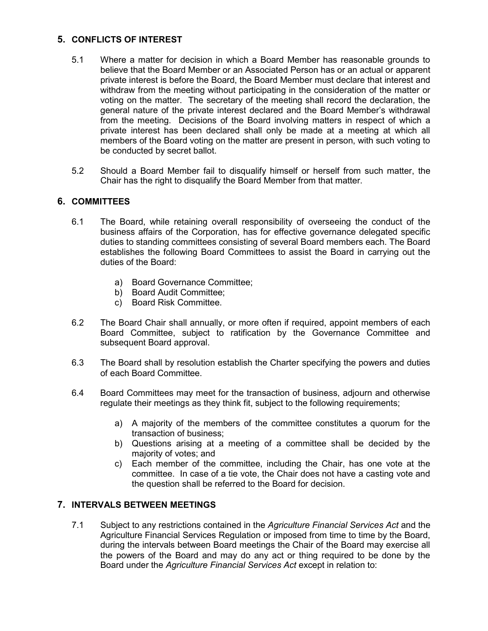## **5. CONFLICTS OF INTEREST**

- 5.1 Where a matter for decision in which a Board Member has reasonable grounds to believe that the Board Member or an Associated Person has or an actual or apparent private interest is before the Board, the Board Member must declare that interest and withdraw from the meeting without participating in the consideration of the matter or voting on the matter. The secretary of the meeting shall record the declaration, the general nature of the private interest declared and the Board Member's withdrawal from the meeting. Decisions of the Board involving matters in respect of which a private interest has been declared shall only be made at a meeting at which all members of the Board voting on the matter are present in person, with such voting to be conducted by secret ballot.
- 5.2 Should a Board Member fail to disqualify himself or herself from such matter, the Chair has the right to disqualify the Board Member from that matter.

# **6. COMMITTEES**

- 6.1 The Board, while retaining overall responsibility of overseeing the conduct of the business affairs of the Corporation, has for effective governance delegated specific duties to standing committees consisting of several Board members each. The Board establishes the following Board Committees to assist the Board in carrying out the duties of the Board:
	- a) Board Governance Committee;
	- b) Board Audit Committee;
	- c) Board Risk Committee.
- 6.2 The Board Chair shall annually, or more often if required, appoint members of each Board Committee, subject to ratification by the Governance Committee and subsequent Board approval.
- 6.3 The Board shall by resolution establish the Charter specifying the powers and duties of each Board Committee.
- 6.4 Board Committees may meet for the transaction of business, adjourn and otherwise regulate their meetings as they think fit, subject to the following requirements;
	- a) A majority of the members of the committee constitutes a quorum for the transaction of business;
	- b) Questions arising at a meeting of a committee shall be decided by the majority of votes; and
	- c) Each member of the committee, including the Chair, has one vote at the committee. In case of a tie vote, the Chair does not have a casting vote and the question shall be referred to the Board for decision.

# **7. INTERVALS BETWEEN MEETINGS**

7.1 Subject to any restrictions contained in the *Agriculture Financial Services Act* and the Agriculture Financial Services Regulation or imposed from time to time by the Board, during the intervals between Board meetings the Chair of the Board may exercise all the powers of the Board and may do any act or thing required to be done by the Board under the *Agriculture Financial Services Act* except in relation to: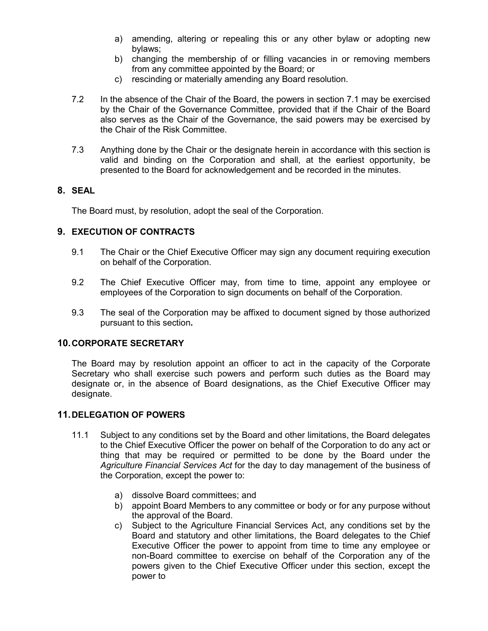- a) amending, altering or repealing this or any other bylaw or adopting new bylaws;
- b) changing the membership of or filling vacancies in or removing members from any committee appointed by the Board; or
- c) rescinding or materially amending any Board resolution.
- 7.2 In the absence of the Chair of the Board, the powers in section 7.1 may be exercised by the Chair of the Governance Committee, provided that if the Chair of the Board also serves as the Chair of the Governance, the said powers may be exercised by the Chair of the Risk Committee.
- 7.3 Anything done by the Chair or the designate herein in accordance with this section is valid and binding on the Corporation and shall, at the earliest opportunity, be presented to the Board for acknowledgement and be recorded in the minutes.

## **8. SEAL**

The Board must, by resolution, adopt the seal of the Corporation.

## **9. EXECUTION OF CONTRACTS**

- 9.1 The Chair or the Chief Executive Officer may sign any document requiring execution on behalf of the Corporation.
- 9.2 The Chief Executive Officer may, from time to time, appoint any employee or employees of the Corporation to sign documents on behalf of the Corporation.
- 9.3 The seal of the Corporation may be affixed to document signed by those authorized pursuant to this section**.**

## **10.CORPORATE SECRETARY**

The Board may by resolution appoint an officer to act in the capacity of the Corporate Secretary who shall exercise such powers and perform such duties as the Board may designate or, in the absence of Board designations, as the Chief Executive Officer may designate.

## **11.DELEGATION OF POWERS**

- 11.1 Subject to any conditions set by the Board and other limitations, the Board delegates to the Chief Executive Officer the power on behalf of the Corporation to do any act or thing that may be required or permitted to be done by the Board under the *Agriculture Financial Services Act* for the day to day management of the business of the Corporation, except the power to:
	- a) dissolve Board committees; and
	- b) appoint Board Members to any committee or body or for any purpose without the approval of the Board.
	- c) Subject to the Agriculture Financial Services Act, any conditions set by the Board and statutory and other limitations, the Board delegates to the Chief Executive Officer the power to appoint from time to time any employee or non-Board committee to exercise on behalf of the Corporation any of the powers given to the Chief Executive Officer under this section, except the power to